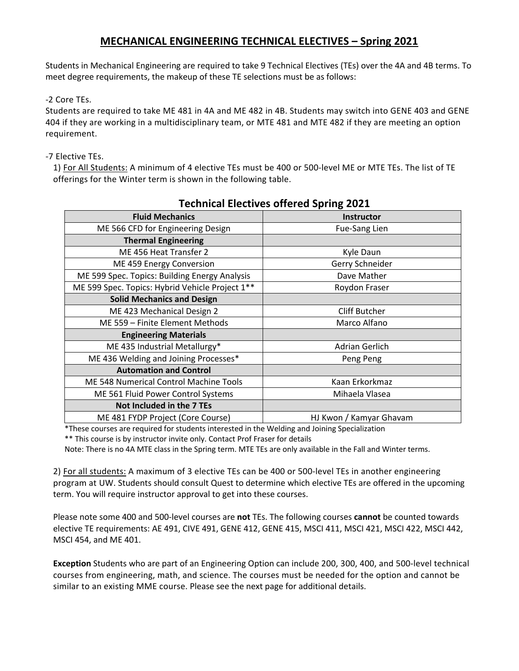## **MECHANICAL ENGINEERING TECHNICAL ELECTIVES – Spring 2021**

Students in Mechanical Engineering are required to take 9 Technical Electives (TEs) over the 4A and 4B terms. To meet degree requirements, the makeup of these TE selections must be as follows:

-2 Core TEs.

Students are required to take ME 481 in 4A and ME 482 in 4B. Students may switch into GENE 403 and GENE 404 if they are working in a multidisciplinary team, or MTE 481 and MTE 482 if they are meeting an option requirement.

## -7 Elective TEs.

1) For All Students: A minimum of 4 elective TEs must be 400 or 500-level ME or MTE TEs. The list of TE offerings for the Winter term is shown in the following table.

| <b>Fluid Mechanics</b>                          | <b>Instructor</b>       |  |
|-------------------------------------------------|-------------------------|--|
| ME 566 CFD for Engineering Design               | Fue-Sang Lien           |  |
| <b>Thermal Engineering</b>                      |                         |  |
| ME 456 Heat Transfer 2                          | Kyle Daun               |  |
| ME 459 Energy Conversion                        | Gerry Schneider         |  |
| ME 599 Spec. Topics: Building Energy Analysis   | Dave Mather             |  |
| ME 599 Spec. Topics: Hybrid Vehicle Project 1** | Roydon Fraser           |  |
| <b>Solid Mechanics and Design</b>               |                         |  |
| ME 423 Mechanical Design 2                      | <b>Cliff Butcher</b>    |  |
| ME 559 - Finite Element Methods                 | Marco Alfano            |  |
| <b>Engineering Materials</b>                    |                         |  |
| ME 435 Industrial Metallurgy*                   | <b>Adrian Gerlich</b>   |  |
| ME 436 Welding and Joining Processes*           | Peng Peng               |  |
| <b>Automation and Control</b>                   |                         |  |
| ME 548 Numerical Control Machine Tools          | Kaan Erkorkmaz          |  |
| ME 561 Fluid Power Control Systems              | Mihaela Vlasea          |  |
| Not Included in the 7 TEs                       |                         |  |
| ME 481 FYDP Project (Core Course)               | HJ Kwon / Kamyar Ghavam |  |

## **Technical Electives offered Spring 2021**

\*These courses are required for students interested in the Welding and Joining Specialization

\*\* This course is by instructor invite only. Contact Prof Fraser for details

Note: There is no 4A MTE class in the Spring term. MTE TEs are only available in the Fall and Winter terms.

2) For all students: A maximum of 3 elective TEs can be 400 or 500-level TEs in another engineering program at UW. Students should consult Quest to determine which elective TEs are offered in the upcoming term. You will require instructor approval to get into these courses.

Please note some 400 and 500-level courses are **not** TEs. The following courses **cannot** be counted towards elective TE requirements: AE 491, CIVE 491, GENE 412, GENE 415, MSCI 411, MSCI 421, MSCI 422, MSCI 442, MSCI 454, and ME 401.

**Exception** Students who are part of an Engineering Option can include 200, 300, 400, and 500-level technical courses from engineering, math, and science. The courses must be needed for the option and cannot be similar to an existing MME course. Please see the next page for additional details.